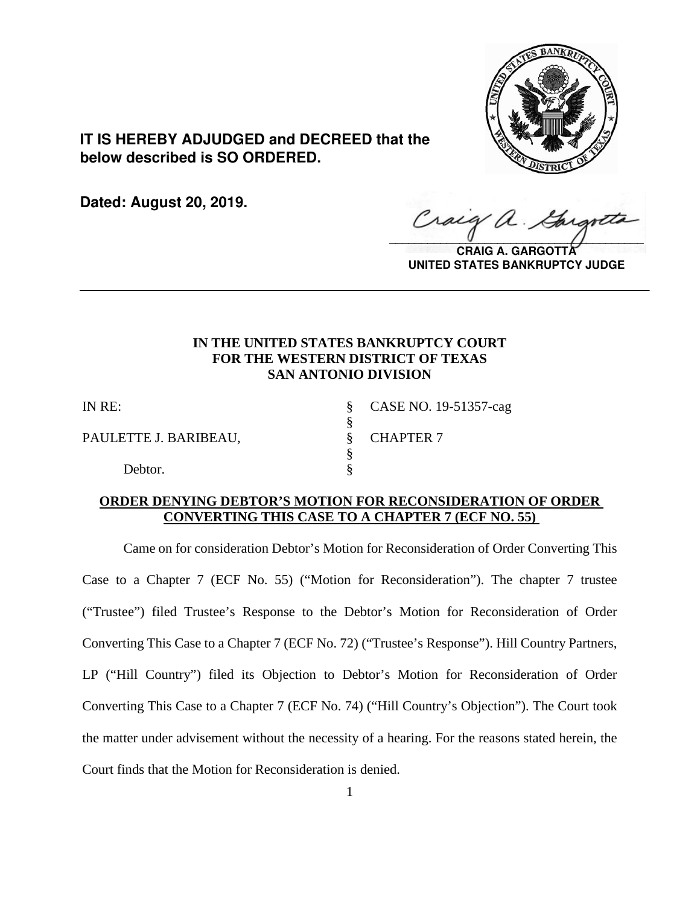

**IT IS HEREBY ADJUDGED and DECREED that the below described is SO ORDERED.**

**Dated: August 20, 2019.**

 $\sqrt{2}$ 

**CRAIG A. GARGOTTA UNITED STATES BANKRUPTCY JUDGE**

# **IN THE UNITED STATES BANKRUPTCY COURT FOR THE WESTERN DISTRICT OF TEXAS SAN ANTONIO DIVISION**

**\_\_\_\_\_\_\_\_\_\_\_\_\_\_\_\_\_\_\_\_\_\_\_\_\_\_\_\_\_\_\_\_\_\_\_\_\_\_\_\_\_\_\_\_\_\_\_\_\_\_\_\_\_\_\_\_\_\_\_\_\_\_\_\_**

§

PAULETTE J. BARIBEAU, S. CHAPTER 7

§

Debtor.

IN RE: § CASE NO. 19-51357-cag

## **ORDER DENYING DEBTOR'S MOTION FOR RECONSIDERATION OF ORDER CONVERTING THIS CASE TO A CHAPTER 7 (ECF NO. 55)**

Came on for consideration Debtor's Motion for Reconsideration of Order Converting This Case to a Chapter 7 (ECF No. 55) ("Motion for Reconsideration"). The chapter 7 trustee ("Trustee") filed Trustee's Response to the Debtor's Motion for Reconsideration of Order Converting This Case to a Chapter 7 (ECF No. 72) ("Trustee's Response"). Hill Country Partners, LP ("Hill Country") filed its Objection to Debtor's Motion for Reconsideration of Order Converting This Case to a Chapter 7 (ECF No. 74) ("Hill Country's Objection"). The Court took the matter under advisement without the necessity of a hearing. For the reasons stated herein, the Court finds that the Motion for Reconsideration is denied.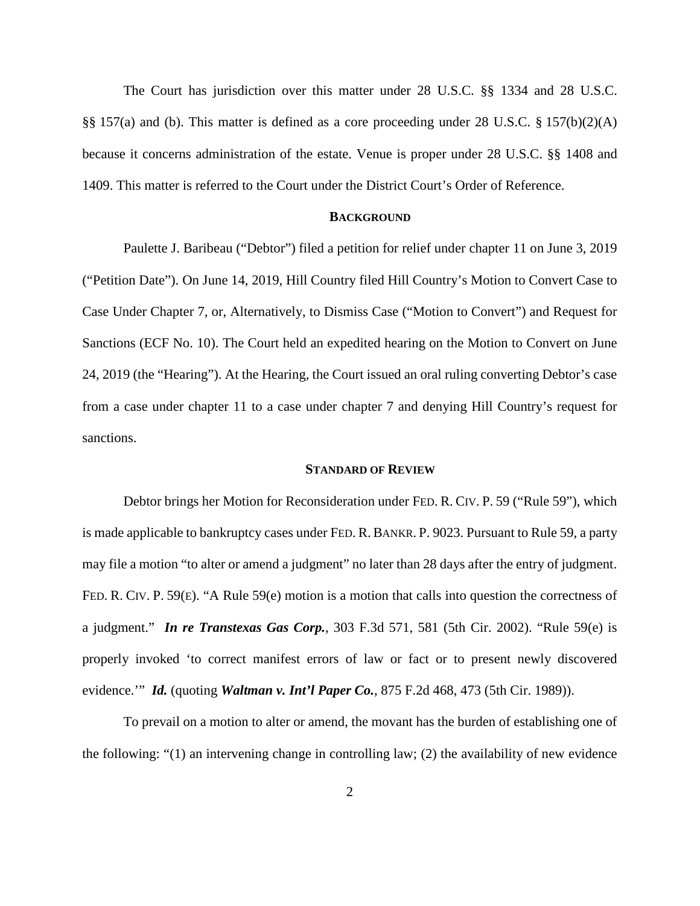The Court has jurisdiction over this matter under 28 U.S.C. §§ 1334 and 28 U.S.C. §§ 157(a) and (b). This matter is defined as a core proceeding under 28 U.S.C. § 157(b)(2)(A) because it concerns administration of the estate. Venue is proper under 28 U.S.C. §§ 1408 and 1409. This matter is referred to the Court under the District Court's Order of Reference.

## **BACKGROUND**

Paulette J. Baribeau ("Debtor") filed a petition for relief under chapter 11 on June 3, 2019 ("Petition Date"). On June 14, 2019, Hill Country filed Hill Country's Motion to Convert Case to Case Under Chapter 7, or, Alternatively, to Dismiss Case ("Motion to Convert") and Request for Sanctions (ECF No. 10). The Court held an expedited hearing on the Motion to Convert on June 24, 2019 (the "Hearing"). At the Hearing, the Court issued an oral ruling converting Debtor's case from a case under chapter 11 to a case under chapter 7 and denying Hill Country's request for sanctions.

### **STANDARD OF REVIEW**

Debtor brings her Motion for Reconsideration under FED. R. CIV. P. 59 ("Rule 59"), which is made applicable to bankruptcy cases under FED. R. BANKR. P. 9023. Pursuant to Rule 59, a party may file a motion "to alter or amend a judgment" no later than 28 days after the entry of judgment. FED. R. CIV. P. 59(E). "A Rule 59(e) motion is a motion that calls into question the correctness of a judgment." *In re Transtexas Gas Corp.*, 303 F.3d 571, 581 (5th Cir. 2002). "Rule 59(e) is properly invoked 'to correct manifest errors of law or fact or to present newly discovered evidence.'" *Id.* (quoting *Waltman v. Int'l Paper Co.*, 875 F.2d 468, 473 (5th Cir. 1989)).

To prevail on a motion to alter or amend, the movant has the burden of establishing one of the following: "(1) an intervening change in controlling law; (2) the availability of new evidence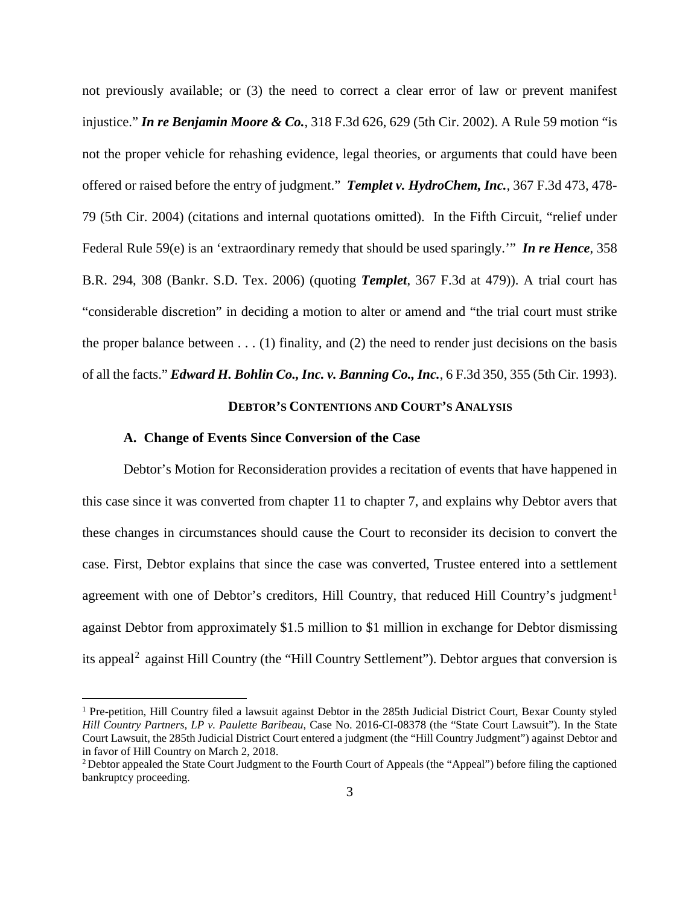not previously available; or (3) the need to correct a clear error of law or prevent manifest injustice." *In re Benjamin Moore & Co.*, 318 F.3d 626, 629 (5th Cir. 2002). A Rule 59 motion "is not the proper vehicle for rehashing evidence, legal theories, or arguments that could have been offered or raised before the entry of judgment." *Templet v. HydroChem, Inc.,* 367 F.3d 473, 478- 79 (5th Cir. 2004) (citations and internal quotations omitted). In the Fifth Circuit, "relief under Federal Rule 59(e) is an 'extraordinary remedy that should be used sparingly.'" *In re Hence*, 358 B.R. 294, 308 (Bankr. S.D. Tex. 2006) (quoting *Templet*, 367 F.3d at 479)). A trial court has "considerable discretion" in deciding a motion to alter or amend and "the trial court must strike the proper balance between  $\dots$  (1) finality, and (2) the need to render just decisions on the basis of all the facts." *Edward H. Bohlin Co., Inc. v. Banning Co., Inc.*, 6 F.3d 350, 355 (5th Cir. 1993).

## **DEBTOR'S CONTENTIONS AND COURT'S ANALYSIS**

#### **A. Change of Events Since Conversion of the Case**

Debtor's Motion for Reconsideration provides a recitation of events that have happened in this case since it was converted from chapter 11 to chapter 7, and explains why Debtor avers that these changes in circumstances should cause the Court to reconsider its decision to convert the case. First, Debtor explains that since the case was converted, Trustee entered into a settlement agreement with one of Debtor's creditors, Hill Country, that reduced Hill Country's judgment<sup>[1](#page-2-0)</sup> against Debtor from approximately \$1.5 million to \$1 million in exchange for Debtor dismissing its appeal<sup>[2](#page-2-1)</sup> against Hill Country (the "Hill Country Settlement"). Debtor argues that conversion is

<span id="page-2-0"></span><sup>&</sup>lt;sup>1</sup> Pre-petition, Hill Country filed a lawsuit against Debtor in the 285th Judicial District Court, Bexar County styled *Hill Country Partners, LP v. Paulette Baribeau*, Case No. 2016-CI-08378 (the "State Court Lawsuit"). In the State Court Lawsuit, the 285th Judicial District Court entered a judgment (the "Hill Country Judgment") against Debtor and in favor of Hill Country on March 2, 2018.<br><sup>2</sup> Debtor appealed the State Court Judgment to the Fourth Court of Appeals (the "Appeal") before filing the captioned

<span id="page-2-1"></span>bankruptcy proceeding.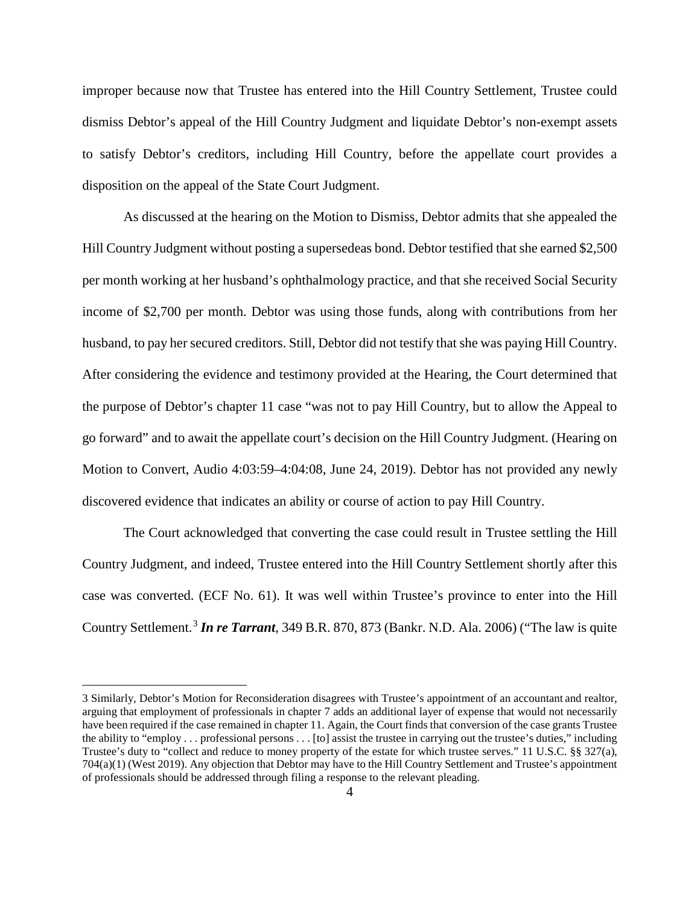improper because now that Trustee has entered into the Hill Country Settlement, Trustee could dismiss Debtor's appeal of the Hill Country Judgment and liquidate Debtor's non-exempt assets to satisfy Debtor's creditors, including Hill Country, before the appellate court provides a disposition on the appeal of the State Court Judgment.

As discussed at the hearing on the Motion to Dismiss, Debtor admits that she appealed the Hill Country Judgment without posting a supersedeas bond. Debtor testified that she earned \$2,500 per month working at her husband's ophthalmology practice, and that she received Social Security income of \$2,700 per month. Debtor was using those funds, along with contributions from her husband, to pay her secured creditors. Still, Debtor did not testify that she was paying Hill Country. After considering the evidence and testimony provided at the Hearing, the Court determined that the purpose of Debtor's chapter 11 case "was not to pay Hill Country, but to allow the Appeal to go forward" and to await the appellate court's decision on the Hill Country Judgment. (Hearing on Motion to Convert, Audio 4:03:59–4:04:08, June 24, 2019). Debtor has not provided any newly discovered evidence that indicates an ability or course of action to pay Hill Country.

The Court acknowledged that converting the case could result in Trustee settling the Hill Country Judgment, and indeed, Trustee entered into the Hill Country Settlement shortly after this case was converted. (ECF No. 61). It was well within Trustee's province to enter into the Hill Country Settlement. [3](#page-3-0) *In re Tarrant*, 349 B.R. 870, 873 (Bankr. N.D. Ala. 2006) ("The law is quite

 $\overline{a}$ 

<span id="page-3-0"></span><sup>3</sup> Similarly, Debtor's Motion for Reconsideration disagrees with Trustee's appointment of an accountant and realtor, arguing that employment of professionals in chapter 7 adds an additional layer of expense that would not necessarily have been required if the case remained in chapter 11. Again, the Court finds that conversion of the case grants Trustee the ability to "employ . . . professional persons . . . [to] assist the trustee in carrying out the trustee's duties," including Trustee's duty to "collect and reduce to money property of the estate for which trustee serves." 11 U.S.C. §§ 327(a), 704(a)(1) (West 2019). Any objection that Debtor may have to the Hill Country Settlement and Trustee's appointment of professionals should be addressed through filing a response to the relevant pleading.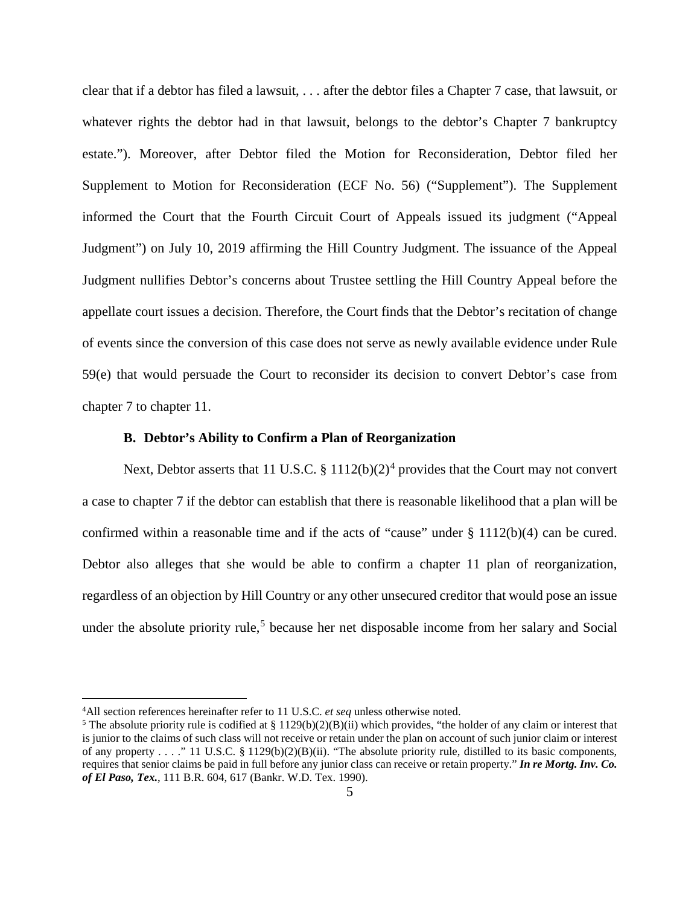clear that if a debtor has filed a lawsuit, . . . after the debtor files a Chapter 7 case, that lawsuit, or whatever rights the debtor had in that lawsuit, belongs to the debtor's Chapter 7 bankruptcy estate."). Moreover, after Debtor filed the Motion for Reconsideration, Debtor filed her Supplement to Motion for Reconsideration (ECF No. 56) ("Supplement"). The Supplement informed the Court that the Fourth Circuit Court of Appeals issued its judgment ("Appeal Judgment") on July 10, 2019 affirming the Hill Country Judgment. The issuance of the Appeal Judgment nullifies Debtor's concerns about Trustee settling the Hill Country Appeal before the appellate court issues a decision. Therefore, the Court finds that the Debtor's recitation of change of events since the conversion of this case does not serve as newly available evidence under Rule 59(e) that would persuade the Court to reconsider its decision to convert Debtor's case from chapter 7 to chapter 11.

## **B. Debtor's Ability to Confirm a Plan of Reorganization**

Next, Debtor asserts that 11 U.S.C.  $\S 1112(b)(2)^4$  $\S 1112(b)(2)^4$  provides that the Court may not convert a case to chapter 7 if the debtor can establish that there is reasonable likelihood that a plan will be confirmed within a reasonable time and if the acts of "cause" under § 1112(b)(4) can be cured. Debtor also alleges that she would be able to confirm a chapter 11 plan of reorganization, regardless of an objection by Hill Country or any other unsecured creditor that would pose an issue under the absolute priority rule, [5](#page-4-1) because her net disposable income from her salary and Social

 $\frac{1}{4}$ 

<span id="page-4-1"></span><span id="page-4-0"></span><sup>&</sup>lt;sup>4</sup>All section references hereinafter refer to 11 U.S.C. *et seq* unless otherwise noted.<br><sup>5</sup> The absolute priority rule is codified at § 1129(b)(2)(B)(ii) which provides, "the holder of any claim or interest that is junior to the claims of such class will not receive or retain under the plan on account of such junior claim or interest of any property . . . ." 11 U.S.C. § 1129(b)(2)(B)(ii). "The absolute priority rule, distilled to its basic components, requires that senior claims be paid in full before any junior class can receive or retain property." *In re Mortg. Inv. Co. of El Paso, Tex.*, 111 B.R. 604, 617 (Bankr. W.D. Tex. 1990).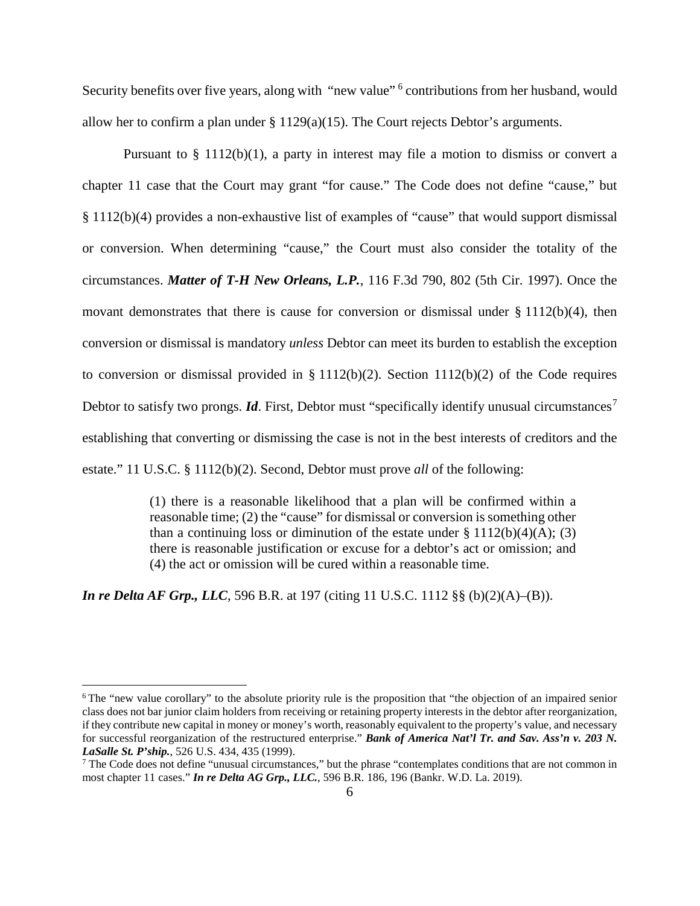Security benefits over five years, along with "new value"<sup>[6](#page-5-0)</sup> contributions from her husband, would allow her to confirm a plan under § 1129(a)(15). The Court rejects Debtor's arguments.

Pursuant to § 1112(b)(1), a party in interest may file a motion to dismiss or convert a chapter 11 case that the Court may grant "for cause." The Code does not define "cause," but § 1112(b)(4) provides a non-exhaustive list of examples of "cause" that would support dismissal or conversion. When determining "cause," the Court must also consider the totality of the circumstances. *Matter of T-H New Orleans, L.P.*, 116 F.3d 790, 802 (5th Cir. 1997). Once the movant demonstrates that there is cause for conversion or dismissal under  $\S 1112(b)(4)$ , then conversion or dismissal is mandatory *unless* Debtor can meet its burden to establish the exception to conversion or dismissal provided in  $\S 1112(b)(2)$ . Section  $1112(b)(2)$  of the Code requires Debtor to satisfy two prongs. *Id*. First, Debtor must "specifically identify unusual circumstances<sup>[7](#page-5-1)</sup> establishing that converting or dismissing the case is not in the best interests of creditors and the estate." 11 U.S.C. § 1112(b)(2). Second, Debtor must prove *all* of the following:

> (1) there is a reasonable likelihood that a plan will be confirmed within a reasonable time; (2) the "cause" for dismissal or conversion is something other than a continuing loss or diminution of the estate under  $\S 1112(b)(4)(A)$ ; (3) there is reasonable justification or excuse for a debtor's act or omission; and (4) the act or omission will be cured within a reasonable time.

*In re Delta AF Grp., LLC*, 596 B.R. at 197 (citing 11 U.S.C. 1112 §§ (b)(2)(A)–(B)).

<span id="page-5-0"></span><sup>&</sup>lt;sup>6</sup> The "new value corollary" to the absolute priority rule is the proposition that "the objection of an impaired senior class does not bar junior claim holders from receiving or retaining property interests in the debtor after reorganization, if they contribute new capital in money or money's worth, reasonably equivalent to the property's value, and necessary for successful reorganization of the restructured enterprise." *Bank of America Nat'l Tr. and Sav. Ass'n v. 203 N. LaSalle St. P'ship.*, 526 U.S. 434, 435 (1999).<br><sup>7</sup> The Code does not define "unusual circumstances," but the phrase "contemplates conditions that are not common in

<span id="page-5-1"></span>most chapter 11 cases." *In re Delta AG Grp., LLC.*, 596 B.R. 186, 196 (Bankr. W.D. La. 2019).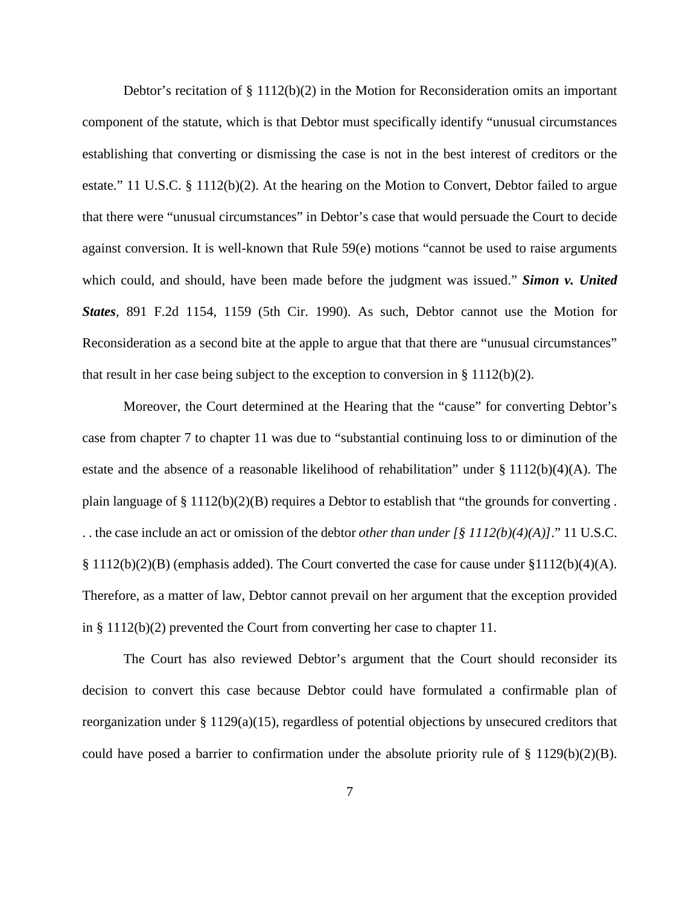Debtor's recitation of  $\S 1112(b)(2)$  in the Motion for Reconsideration omits an important component of the statute, which is that Debtor must specifically identify "unusual circumstances establishing that converting or dismissing the case is not in the best interest of creditors or the estate." 11 U.S.C. § 1112(b)(2). At the hearing on the Motion to Convert, Debtor failed to argue that there were "unusual circumstances" in Debtor's case that would persuade the Court to decide against conversion. It is well-known that Rule 59(e) motions "cannot be used to raise arguments which could, and should, have been made before the judgment was issued." *Simon v. United States*, 891 F.2d 1154, 1159 (5th Cir. 1990). As such, Debtor cannot use the Motion for Reconsideration as a second bite at the apple to argue that that there are "unusual circumstances" that result in her case being subject to the exception to conversion in § 1112(b)(2).

Moreover, the Court determined at the Hearing that the "cause" for converting Debtor's case from chapter 7 to chapter 11 was due to "substantial continuing loss to or diminution of the estate and the absence of a reasonable likelihood of rehabilitation" under § 1112(b)(4)(A). The plain language of  $\S 1112(b)(2)(B)$  requires a Debtor to establish that "the grounds for converting. . . the case include an act or omission of the debtor *other than under [§ 1112(b)(4)(A)]*." 11 U.S.C.  $\S 1112(b)(2)(B)$  (emphasis added). The Court converted the case for cause under  $\S 1112(b)(4)(A)$ . Therefore, as a matter of law, Debtor cannot prevail on her argument that the exception provided in § 1112(b)(2) prevented the Court from converting her case to chapter 11.

The Court has also reviewed Debtor's argument that the Court should reconsider its decision to convert this case because Debtor could have formulated a confirmable plan of reorganization under § 1129(a)(15), regardless of potential objections by unsecured creditors that could have posed a barrier to confirmation under the absolute priority rule of § 1129(b)(2)(B).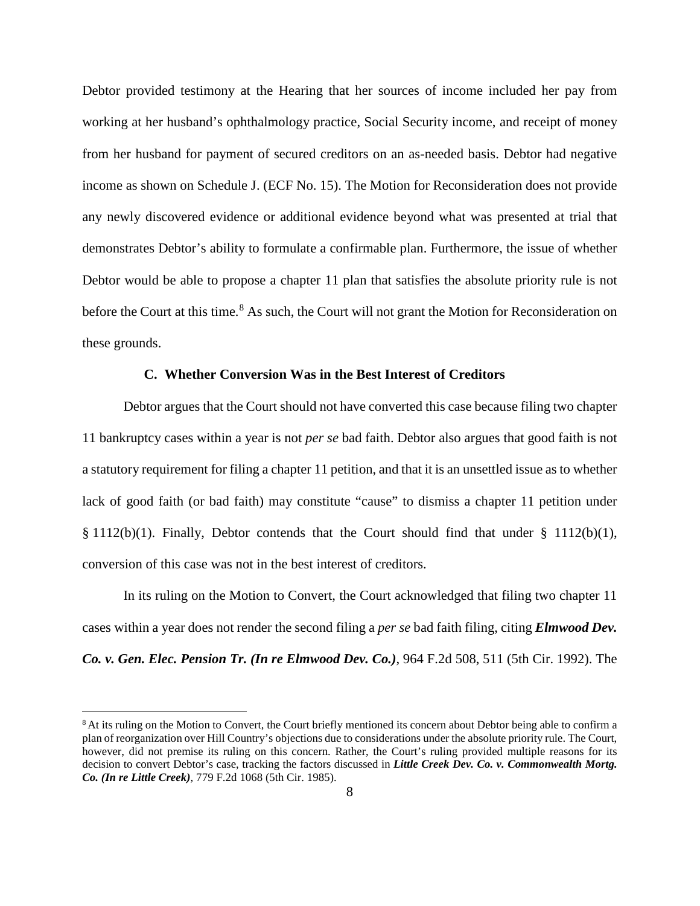Debtor provided testimony at the Hearing that her sources of income included her pay from working at her husband's ophthalmology practice, Social Security income, and receipt of money from her husband for payment of secured creditors on an as-needed basis. Debtor had negative income as shown on Schedule J. (ECF No. 15). The Motion for Reconsideration does not provide any newly discovered evidence or additional evidence beyond what was presented at trial that demonstrates Debtor's ability to formulate a confirmable plan. Furthermore, the issue of whether Debtor would be able to propose a chapter 11 plan that satisfies the absolute priority rule is not before the Court at this time.<sup>[8](#page-7-0)</sup> As such, the Court will not grant the Motion for Reconsideration on these grounds.

## **C. Whether Conversion Was in the Best Interest of Creditors**

Debtor argues that the Court should not have converted this case because filing two chapter 11 bankruptcy cases within a year is not *per se* bad faith. Debtor also argues that good faith is not a statutory requirement for filing a chapter 11 petition, and that it is an unsettled issue as to whether lack of good faith (or bad faith) may constitute "cause" to dismiss a chapter 11 petition under § 1112(b)(1). Finally, Debtor contends that the Court should find that under § 1112(b)(1), conversion of this case was not in the best interest of creditors.

In its ruling on the Motion to Convert, the Court acknowledged that filing two chapter 11 cases within a year does not render the second filing a *per se* bad faith filing, citing *Elmwood Dev. Co. v. Gen. Elec. Pension Tr. (In re Elmwood Dev. Co.)*, 964 F.2d 508, 511 (5th Cir. 1992). The

<span id="page-7-0"></span><sup>&</sup>lt;sup>8</sup> At its ruling on the Motion to Convert, the Court briefly mentioned its concern about Debtor being able to confirm a plan of reorganization over Hill Country's objections due to considerations under the absolute priority rule. The Court, however, did not premise its ruling on this concern. Rather, the Court's ruling provided multiple reasons for its decision to convert Debtor's case, tracking the factors discussed in *Little Creek Dev. Co. v. Commonwealth Mortg. Co. (In re Little Creek)*, 779 F.2d 1068 (5th Cir. 1985).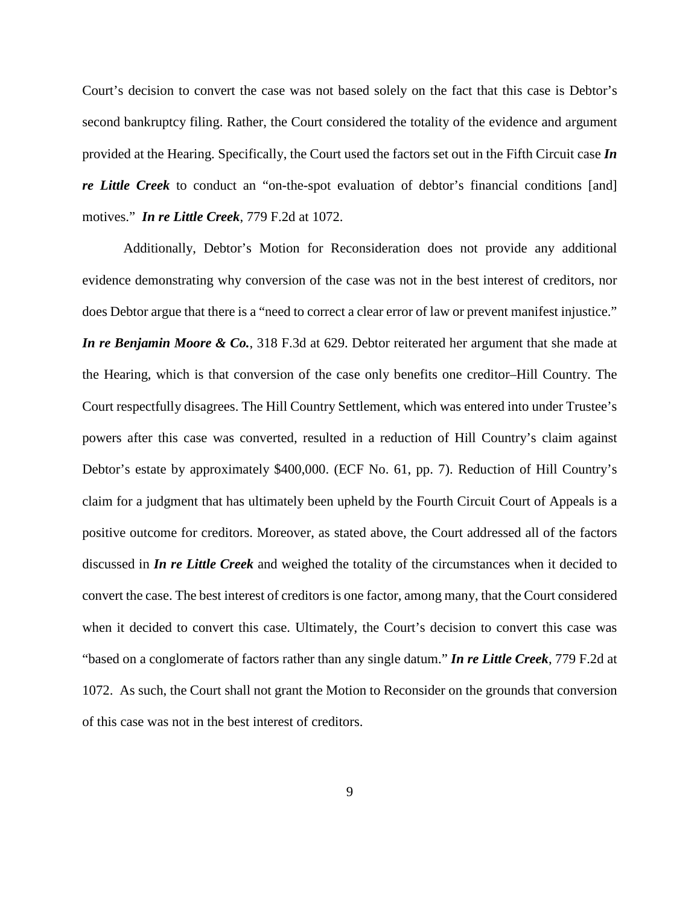Court's decision to convert the case was not based solely on the fact that this case is Debtor's second bankruptcy filing. Rather, the Court considered the totality of the evidence and argument provided at the Hearing. Specifically, the Court used the factors set out in the Fifth Circuit case *In re Little Creek* to conduct an "on-the-spot evaluation of debtor's financial conditions [and] motives." *In re Little Creek*, 779 F.2d at 1072.

Additionally, Debtor's Motion for Reconsideration does not provide any additional evidence demonstrating why conversion of the case was not in the best interest of creditors, nor does Debtor argue that there is a "need to correct a clear error of law or prevent manifest injustice." *In re Benjamin Moore & Co.*, 318 F.3d at 629. Debtor reiterated her argument that she made at the Hearing, which is that conversion of the case only benefits one creditor–Hill Country. The Court respectfully disagrees. The Hill Country Settlement, which was entered into under Trustee's powers after this case was converted, resulted in a reduction of Hill Country's claim against Debtor's estate by approximately \$400,000. (ECF No. 61, pp. 7). Reduction of Hill Country's claim for a judgment that has ultimately been upheld by the Fourth Circuit Court of Appeals is a positive outcome for creditors. Moreover, as stated above, the Court addressed all of the factors discussed in *In re Little Creek* and weighed the totality of the circumstances when it decided to convert the case. The best interest of creditors is one factor, among many, that the Court considered when it decided to convert this case. Ultimately, the Court's decision to convert this case was "based on a conglomerate of factors rather than any single datum." *In re Little Creek*, 779 F.2d at 1072. As such, the Court shall not grant the Motion to Reconsider on the grounds that conversion of this case was not in the best interest of creditors.